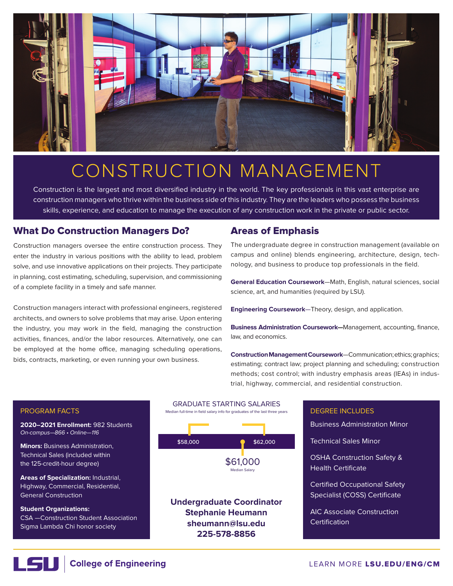

# CONSTRUCTION MANAGEMENT

Construction is the largest and most diversified industry in the world. The key professionals in this vast enterprise are construction managers who thrive within the business side of this industry. They are the leaders who possess the business skills, experience, and education to manage the execution of any construction work in the private or public sector.

## What Do Construction Managers Do?

Construction managers oversee the entire construction process. They enter the industry in various positions with the ability to lead, problem solve, and use innovative applications on their projects. They participate in planning, cost estimating, scheduling, supervision, and commissioning of a complete facility in a timely and safe manner.

Construction managers interact with professional engineers, registered architects, and owners to solve problems that may arise. Upon entering the industry, you may work in the field, managing the construction activities, finances, and/or the labor resources. Alternatively, one can be employed at the home office, managing scheduling operations, bids, contracts, marketing, or even running your own business.

## Areas of Emphasis

The undergraduate degree in construction management (available on campus and online) blends engineering, architecture, design, technology, and business to produce top professionals in the field.

**General Education Coursework**—Math, English, natural sciences, social science, art, and humanities (required by LSU).

**Engineering Coursework**—Theory, design, and application.

**Business Administration Coursework—**Management, accounting, finance, law, and economics.

**Construction Management Coursework**—Communication; ethics; graphics; estimating; contract law; project planning and scheduling; construction methods; cost control; with industry emphasis areas (IEAs) in industrial, highway, commercial, and residential construction.

# DEGREE INCLUDES Business Administration Minor Technical Sales Minor OSHA Construction Safety & Health Certificate Certified Occupational Safety Specialist (COSS) Certificate AIC Associate Construction **Certification**

### PROGRAM FACTS

**2020–2021 Enrollment:** 982 Students On-campus—866 • Online—116

**Minors:** Business Administration, Technical Sales (included within the 125-credit-hour degree)

**Areas of Specialization:** Industrial, Highway, Commercial, Residential, General Construction

**Student Organizations:** CSA —Construction Student Association Sigma Lambda Chi honor society